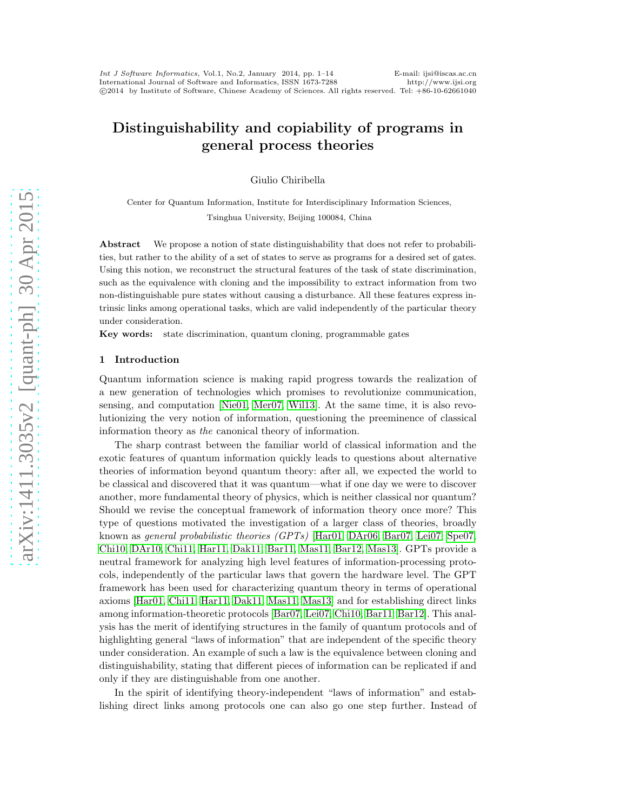# Distinguishability and copiability of programs in general process theories

Giulio Chiribella

Center for Quantum Information, Institute for Interdisciplinary Information Sciences, Tsinghua University, Beijing 100084, China

Abstract We propose a notion of state distinguishability that does not refer to probabilities, but rather to the ability of a set of states to serve as programs for a desired set of gates. Using this notion, we reconstruct the structural features of the task of state discrimination, such as the equivalence with cloning and the impossibility to extract information from two non-distinguishable pure states without causing a disturbance. All these features express intrinsic links among operational tasks, which are valid independently of the particular theory under consideration.

Key words: state discrimination, quantum cloning, programmable gates

#### 1 Introduction

Quantum information science is making rapid progress towards the realization of a new generation of technologies which promises to revolutionize communication, sensing, and computation [\[Nie01,](#page-13-0) [Mer07,](#page-13-1) [Wil13\]](#page-13-2). At the same time, it is also revolutionizing the very notion of information, questioning the preeminence of classical information theory as the canonical theory of information.

The sharp contrast between the familiar world of classical information and the exotic features of quantum information quickly leads to questions about alternative theories of information beyond quantum theory: after all, we expected the world to be classical and discovered that it was quantum—what if one day we were to discover another, more fundamental theory of physics, which is neither classical nor quantum? Should we revise the conceptual framework of information theory once more? This type of questions motivated the investigation of a larger class of theories, broadly known as general probabilistic theories (GPTs) [\[Har01,](#page-13-3) [DAr06,](#page-13-4) [Bar07,](#page-12-0) [Lei07,](#page-13-5) [Spe07,](#page-13-6) [Chi10,](#page-12-1) [DAr10,](#page-13-7) [Chi11,](#page-12-2) [Har11,](#page-13-8) [Dak11,](#page-13-9) [Bar11,](#page-12-3) [Mas11,](#page-13-10) [Bar12,](#page-12-4) [Mas13\]](#page-13-11). GPTs provide a neutral framework for analyzing high level features of information-processing protocols, independently of the particular laws that govern the hardware level. The GPT framework has been used for characterizing quantum theory in terms of operational axioms [\[Har01,](#page-13-3) [Chi11,](#page-12-2) [Har11,](#page-13-8) [Dak11,](#page-13-9) [Mas11,](#page-13-10) [Mas13\]](#page-13-11) and for establishing direct links among information-theoretic protocols [\[Bar07,](#page-12-0) [Lei07,](#page-13-5) [Chi10,](#page-12-1) [Bar11,](#page-12-3) [Bar12\]](#page-12-4). This analysis has the merit of identifying structures in the family of quantum protocols and of highlighting general "laws of information" that are independent of the specific theory under consideration. An example of such a law is the equivalence between cloning and distinguishability, stating that different pieces of information can be replicated if and only if they are distinguishable from one another.

In the spirit of identifying theory-independent "laws of information" and establishing direct links among protocols one can also go one step further. Instead of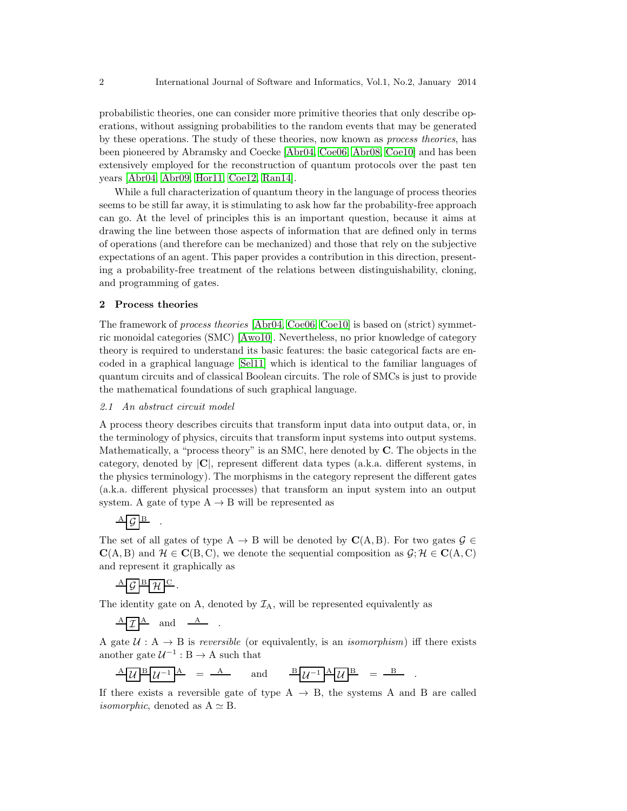probabilistic theories, one can consider more primitive theories that only describe operations, without assigning probabilities to the random events that may be generated by these operations. The study of these theories, now known as process theories, has been pioneered by Abramsky and Coecke [\[Abr04,](#page-12-5) [Coe06,](#page-12-6) [Abr08,](#page-12-7) [Coe10\]](#page-12-8) and has been extensively employed for the reconstruction of quantum protocols over the past ten years [\[Abr04,](#page-12-5) [Abr09,](#page-12-9) [Hor11,](#page-13-12) [Coe12,](#page-13-13) [Ran14\]](#page-13-14).

While a full characterization of quantum theory in the language of process theories seems to be still far away, it is stimulating to ask how far the probability-free approach can go. At the level of principles this is an important question, because it aims at drawing the line between those aspects of information that are defined only in terms of operations (and therefore can be mechanized) and those that rely on the subjective expectations of an agent. This paper provides a contribution in this direction, presenting a probability-free treatment of the relations between distinguishability, cloning, and programming of gates.

# 2 Process theories

The framework of process theories [\[Abr04,](#page-12-5) [Coe06,](#page-12-6) [Coe10\]](#page-12-8) is based on (strict) symmetric monoidal categories (SMC) [\[Awo10\]](#page-12-10). Nevertheless, no prior knowledge of category theory is required to understand its basic features: the basic categorical facts are encoded in a graphical language [\[Sel11\]](#page-13-15) which is identical to the familiar languages of quantum circuits and of classical Boolean circuits. The role of SMCs is just to provide the mathematical foundations of such graphical language.

#### 2.1 An abstract circuit model

A process theory describes circuits that transform input data into output data, or, in the terminology of physics, circuits that transform input systems into output systems. Mathematically, a "process theory" is an SMC, here denoted by C. The objects in the category, denoted by |C|, represent different data types (a.k.a. different systems, in the physics terminology). The morphisms in the category represent the different gates (a.k.a. different physical processes) that transform an input system into an output system. A gate of type  $A \rightarrow B$  will be represented as

# $\frac{A}{G}$   $\frac{B}{B}$  .

The set of all gates of type A  $\rightarrow$  B will be denoted by  $\mathbf{C}(A, B)$ . For two gates  $\mathcal{G} \in$  $\mathbf{C}(A, B)$  and  $\mathcal{H} \in \mathbf{C}(B, C)$ , we denote the sequential composition as  $\mathcal{G}; \mathcal{H} \in \mathbf{C}(A, C)$ and represent it graphically as

# $\frac{A}{\beta}$   $\mathcal{G}$   $\frac{B}{\beta}$   $\mathcal{H}$   $\frac{C}{\gamma}$ .

The identity gate on A, denoted by  $\mathcal{I}_A$ , will be represented equivalently as

$$
\frac{A T A}{2}
$$
 and 
$$
\frac{A}{2}
$$
.

A gate  $U : A \rightarrow B$  is *reversible* (or equivalently, is an *isomorphism*) iff there exists another gate  $\mathcal{U}^{-1}: \mathbf{B} \to \mathbf{A}$  such that

$$
\frac{A[\mathcal{U}]^{B}[\mathcal{U}^{-1}]^{A}}{\mathcal{U}^{-1}[\mathcal{U}^{A}]} = \frac{A}{\mathcal{U}^{-1}} \quad \text{and} \quad \frac{B[\mathcal{U}^{-1}]^{A}[\mathcal{U}^{B}]}{\mathcal{U}^{-1}[\mathcal{U}^{A}]} = \frac{B}{\mathcal{U}^{-1}}.
$$

If there exists a reversible gate of type  $A \rightarrow B$ , the systems A and B are called *isomorphic*, denoted as  $A \simeq B$ .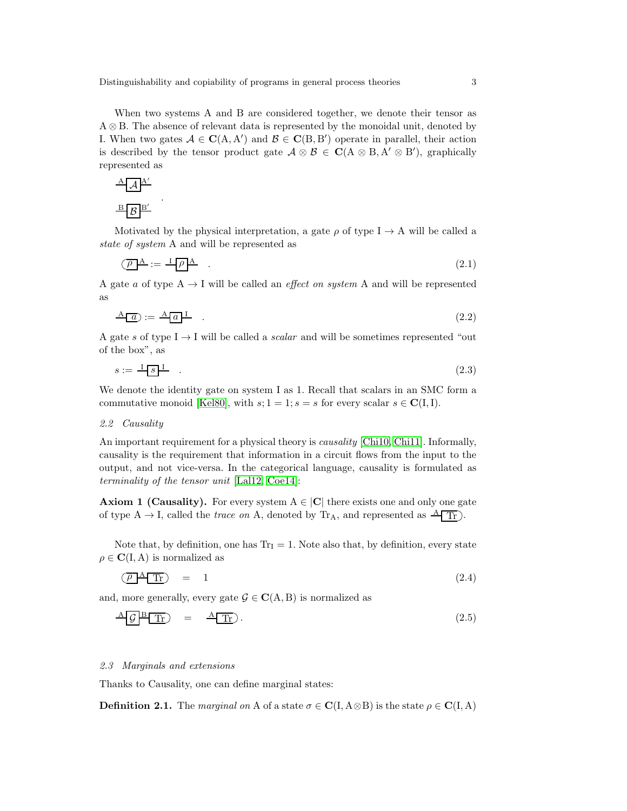Distinguishability and copiability of programs in general process theories 3

When two systems A and B are considered together, we denote their tensor as A ⊗ B. The absence of relevant data is represented by the monoidal unit, denoted by I. When two gates  $A \in \mathbf{C}(A, A')$  and  $B \in \mathbf{C}(B, B')$  operate in parallel, their action is described by the tensor product gate  $\mathcal{A} \otimes \mathcal{B} \in \mathbf{C}(\mathcal{A} \otimes \mathcal{B}, \mathcal{A}' \otimes \mathcal{B}')$ , graphically represented as

$$
\frac{\mathbf{A} \mathbf{A}^{\mathbf{A}^{\prime}}}{\mathbf{B} \mathbf{B}^{\prime}}
$$

.

Motivated by the physical interpretation, a gate  $\rho$  of type I  $\rightarrow$  A will be called a state of system A and will be represented as

$$
\overline{(\rho \mathbf{A})} := \mathbf{I} \overline{(\rho \mathbf{A})} \tag{2.1}
$$

A gate a of type  $A \rightarrow I$  will be called an *effect on system* A and will be represented as

$$
\underline{A} \underline{a} := \underline{A} \underline{a} \underline{1} \tag{2.2}
$$

A gate s of type  $I \rightarrow I$  will be called a scalar and will be sometimes represented "out of the box", as

$$
s := \frac{1}{s} \mathbf{I} \tag{2.3}
$$

We denote the identity gate on system I as 1. Recall that scalars in an SMC form a commutative monoid [\[Kel80\]](#page-13-16), with  $s; 1 = 1; s = s$  for every scalar  $s \in \mathbb{C}(\mathbb{I}, \mathbb{I}).$ 

#### 2.2 Causality

An important requirement for a physical theory is *causality* [\[Chi10,](#page-12-1) [Chi11\]](#page-12-2). Informally, causality is the requirement that information in a circuit flows from the input to the output, and not vice-versa. In the categorical language, causality is formulated as terminality of the tensor unit [\[Lal12,](#page-13-17) [Coe14\]](#page-13-18):

**Axiom 1 (Causality).** For every system  $A \in |C|$  there exists one and only one gate of type  $A \rightarrow I$ , called the *trace on* A, denoted by  $Tr_A$ , and represented as  $\frac{A}{A} Tr$ .

Note that, by definition, one has  $Tr_I = 1$ . Note also that, by definition, every state  $\rho \in \mathbf{C}(\mathbf{I}, \mathbf{A})$  is normalized as

<span id="page-2-0"></span>
$$
\overline{(\rho \mathbf{A} \mathbf{T}_{\Gamma})} = 1 \tag{2.4}
$$

and, more generally, every gate  $\mathcal{G} \in \mathbf{C}(\mathbf{A}, \mathbf{B})$  is normalized as

$$
\frac{\mathcal{A} \mathcal{G}}{\mathcal{G}} \frac{\mathcal{B}}{\mathcal{T}r} = \frac{\mathcal{A} \mathcal{T}r}{r}.
$$
\n(2.5)

#### 2.3 Marginals and extensions

Thanks to Causality, one can define marginal states:

**Definition 2.1.** The marginal on A of a state  $\sigma \in \mathbf{C}(I, A \otimes B)$  is the state  $\rho \in \mathbf{C}(I, A)$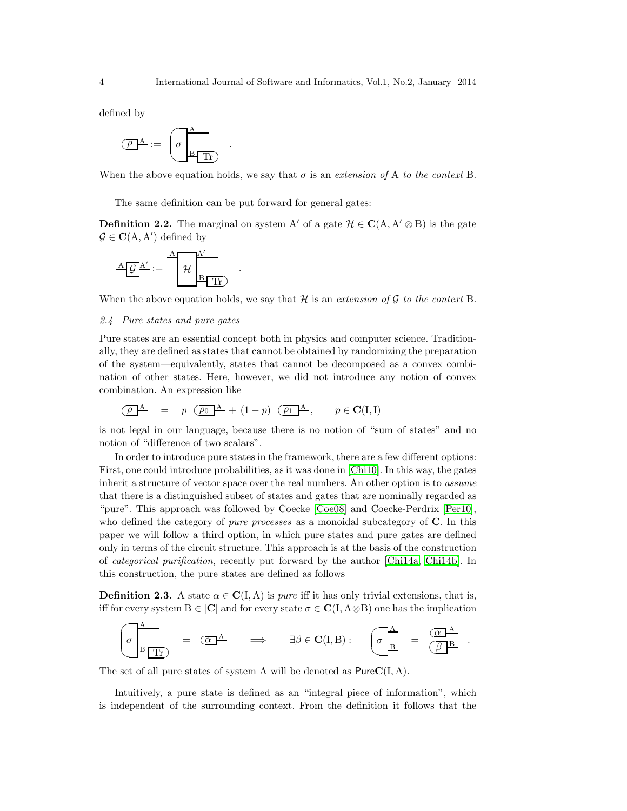defined by

$$
\left(\overline{\rho}\right)^\mathbf{A} := \left(\sigma \frac{\mathbf{A}}{\mathbf{B} \cdot \mathbf{T} \mathbf{B}}\right)
$$

When the above equation holds, we say that  $\sigma$  is an extension of A to the context B.

The same definition can be put forward for general gates:

.

.

**Definition 2.2.** The marginal on system A' of a gate  $\mathcal{H} \in \mathbf{C}(\mathbf{A}, \mathbf{A}' \otimes \mathbf{B})$  is the gate  $\mathcal{G} \in \mathbf{C}(\mathbf{A}, \mathbf{A}')$  defined by

$$
\underline{A} \underline{\mathcal{G}} \underline{A'} := \underline{A} \underline{\mathcal{H}} \underline{\underline{A'} \underline{B} \underline{\underline{T}}}
$$

When the above equation holds, we say that  $H$  is an extension of  $G$  to the context B.

# 2.4 Pure states and pure gates

Pure states are an essential concept both in physics and computer science. Traditionally, they are defined as states that cannot be obtained by randomizing the preparation of the system—equivalently, states that cannot be decomposed as a convex combination of other states. Here, however, we did not introduce any notion of convex combination. An expression like

$$
\overline{(\rho \mathbf{A})} = p \overline{(\rho_0 \mathbf{A})} + (1-p) \overline{(\rho_1 \mathbf{A})}, \quad p \in \mathbf{C}(\mathbf{I}, \mathbf{I})
$$

is not legal in our language, because there is no notion of "sum of states" and no notion of "difference of two scalars".

In order to introduce pure states in the framework, there are a few different options: First, one could introduce probabilities, as it was done in [\[Chi10\]](#page-12-1). In this way, the gates inherit a structure of vector space over the real numbers. An other option is to assume that there is a distinguished subset of states and gates that are nominally regarded as "pure". This approach was followed by Coecke [\[Coe08\]](#page-12-11) and Coecke-Perdrix [\[Per10\]](#page-13-19), who defined the category of *pure processes* as a monoidal subcategory of  $C$ . In this paper we will follow a third option, in which pure states and pure gates are defined only in terms of the circuit structure. This approach is at the basis of the construction of categorical purification, recently put forward by the author [\[Chi14a,](#page-12-12) [Chi14b\]](#page-12-13). In this construction, the pure states are defined as follows

<span id="page-3-0"></span>**Definition 2.3.** A state  $\alpha \in \mathbf{C}(I, A)$  is *pure* iff it has only trivial extensions, that is, iff for every system  $B \in |C|$  and for every state  $\sigma \in C(I, A \otimes B)$  one has the implication

$$
\sigma \frac{A}{B \Gamma T} = \frac{1}{\sigma} \frac{A}{B \Gamma T}
$$
\n
$$
\Rightarrow \quad \exists \beta \in \mathbf{C}(\mathbf{I}, \mathbf{B}) : \quad \sigma \frac{A}{B} = \frac{1}{\sigma} \frac{A}{B}
$$

.

The set of all pure states of system A will be denoted as  $PureC(I, A)$ .

Intuitively, a pure state is defined as an "integral piece of information", which is independent of the surrounding context. From the definition it follows that the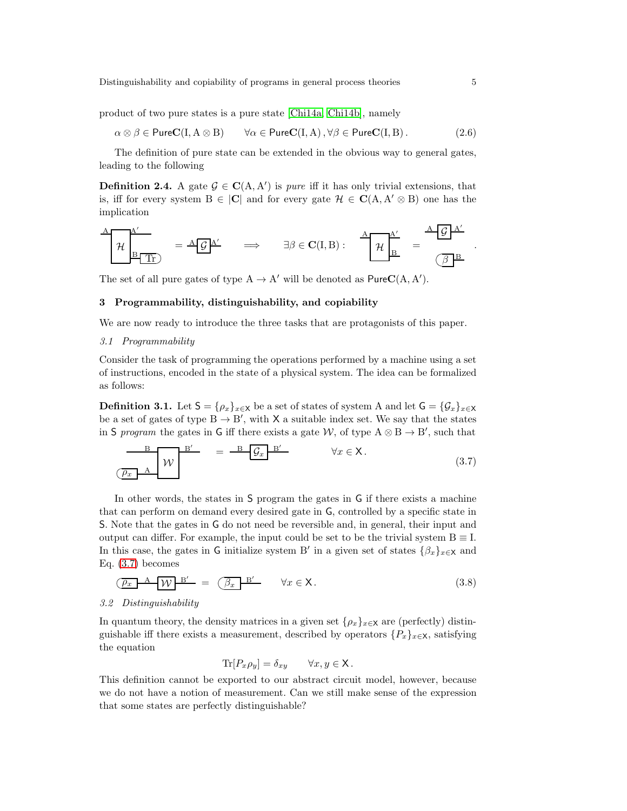product of two pure states is a pure state [Chi<sub>14a</sub>, Ch<sub>i14b</sub>], namely

$$
\alpha \otimes \beta \in \mathsf{PureC}(I, A \otimes B) \qquad \forall \alpha \in \mathsf{PureC}(I, A), \forall \beta \in \mathsf{PureC}(I, B).
$$
 (2.6)

The definition of pure state can be extended in the obvious way to general gates, leading to the following

**Definition 2.4.** A gate  $\mathcal{G} \in \mathbf{C}(A, A')$  is *pure* iff it has only trivial extensions, that is, iff for every system  $B \in |C|$  and for every gate  $\mathcal{H} \in C(A, A' \otimes B)$  one has the implication

$$
\frac{A}{\mathcal{H}}\begin{bmatrix} A'\\ \mathcal{H}\\\hline B\end{bmatrix} \quad = \frac{A}{\mathcal{G}}\begin{bmatrix} A'\\ \hline \end{bmatrix} \qquad \Longrightarrow \qquad \exists \beta \in \mathbf{C}(I,B): \qquad \frac{A}{\mathcal{H}}\begin{bmatrix} A'\\ \hline B'\\ \hline \end{bmatrix} \quad = \qquad \frac{A}{\mathcal{G}}\begin{bmatrix} A'\\ \hline B'\\ \hline \end{bmatrix}
$$

The set of all pure gates of type  $A \to A'$  will be denoted as  $PureC(A, A').$ 

# 3 Programmability, distinguishability, and copiability

We are now ready to introduce the three tasks that are protagonists of this paper.

#### 3.1 Programmability

Consider the task of programming the operations performed by a machine using a set of instructions, encoded in the state of a physical system. The idea can be formalized as follows:

**Definition 3.1.** Let  $S = \{\rho_x\}_{x \in X}$  be a set of states of system A and let  $G = \{\mathcal{G}_x\}_{x \in X}$ be a set of gates of type  $B \to B'$ , with X a suitable index set. We say that the states in S program the gates in G iff there exists a gate W, of type  $A \otimes B \to B'$ , such that

$$
\frac{B}{\left(\rho_x\right)^A} \quad W \quad \frac{B'}{W} \quad = \quad \frac{B}{\left(\rho_x\right)^B} \quad \forall x \in X. \tag{3.7}
$$

In other words, the states in S program the gates in G if there exists a machine that can perform on demand every desired gate in G, controlled by a specific state in S. Note that the gates in G do not need be reversible and, in general, their input and output can differ. For example, the input could be set to be the trivial system  $B \equiv I$ . In this case, the gates in G initialize system B' in a given set of states  $\{\beta_x\}_{x\in\mathsf{X}}$  and Eq. [\(3.7\)](#page-4-0) becomes

$$
\underbrace{\overline{\rho_x} \quad A \quad W \quad B'} = \underbrace{\overline{\beta_x} \quad B'} \qquad \forall x \in \mathsf{X} \,.
$$
\n(3.8)

# 3.2 Distinguishability

In quantum theory, the density matrices in a given set  $\{\rho_x\}_{x\in\mathsf{X}}$  are (perfectly) distinguishable iff there exists a measurement, described by operators  $\{P_x\}_{x\in\mathsf{X}}$ , satisfying the equation

$$
\text{Tr}[P_x \rho_y] = \delta_{xy} \qquad \forall x, y \in \mathsf{X} \, .
$$

This definition cannot be exported to our abstract circuit model, however, because we do not have a notion of measurement. Can we still make sense of the expression that some states are perfectly distinguishable?

<span id="page-4-0"></span>.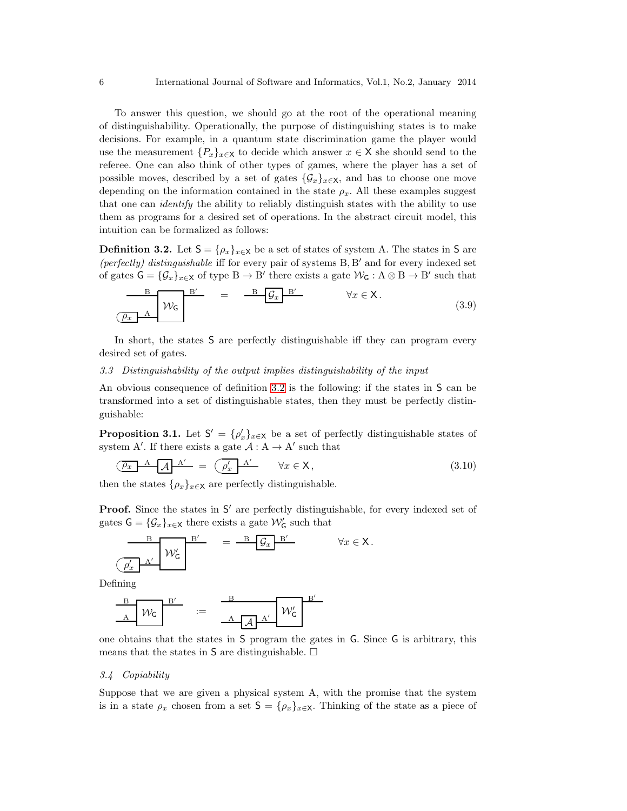To answer this question, we should go at the root of the operational meaning of distinguishability. Operationally, the purpose of distinguishing states is to make decisions. For example, in a quantum state discrimination game the player would use the measurement  $\{P_x\}_{x\in\mathsf{X}}$  to decide which answer  $x\in\mathsf{X}$  she should send to the referee. One can also think of other types of games, where the player has a set of possible moves, described by a set of gates  $\{\mathcal{G}_x\}_{x\in\mathsf{X}}$ , and has to choose one move depending on the information contained in the state  $\rho_x$ . All these examples suggest that one can *identify* the ability to reliably distinguish states with the ability to use them as programs for a desired set of operations. In the abstract circuit model, this intuition can be formalized as follows:

**Definition 3.2.** Let  $S = \{\rho_x\}_{x \in X}$  be a set of states of system A. The states in S are (perfectly) distinguishable iff for every pair of systems B, B ′ and for every indexed set of gates  $G = {\mathcal{G}_x}_{x \in X}$  of type  $B \to B'$  there exists a gate  $\mathcal{W}_G : A \otimes B \to B'$  such that

<span id="page-5-1"></span><span id="page-5-0"></span>
$$
\frac{B}{\left(\rho_x \quad A\right)} W_G \quad = \quad \frac{B}{\left(\rho_x \quad B'\right)} \qquad \forall x \in X. \tag{3.9}
$$

In short, the states S are perfectly distinguishable iff they can program every desired set of gates.

# 3.3 Distinguishability of the output implies distinguishability of the input

An obvious consequence of definition [3.2](#page-5-0) is the following: if the states in S can be transformed into a set of distinguishable states, then they must be perfectly distinguishable:

**Proposition 3.1.** Let  $S' = {\rho'_x}_{x \in X}$  be a set of perfectly distinguishable states of system A'. If there exists a gate  $A : A \rightarrow A'$  such that

$$
\underbrace{(\rho_x \quad A \quad A \quad A'}_{\mathcal{A}} \quad A'}_{\mathcal{A}} = \underbrace{(\rho_x' \quad A'}_{\mathcal{A}} \qquad \forall x \in \mathsf{X}, \tag{3.10}
$$

then the states  $\{\rho_x\}_{x\in\mathsf{X}}$  are perfectly distinguishable.

Proof. Since the states in S' are perfectly distinguishable, for every indexed set of gates  $\mathsf{G} = {\{\mathcal{G}_x\}}_{x \in \mathsf{X}}$  there exists a gate  $\mathcal{W}'_{\mathsf{G}}$  such that

$$
\begin{array}{c|c}\n & B \\
\hline\nB \\
\hline\n\ell_x & A'\n\end{array}\n\qquad\n\begin{array}{c}\nB' \\
\hline\n\end{array}\n\qquad\n=\n\begin{array}{c}\nB \\
\hline\n\end{array}\n\begin{array}{c}\n\mathcal{G}_x & B' \\
\hline\n\end{array}\n\qquad\n\begin{array}{c}\n\forall x \in \mathsf{X} \,.\n\end{array}
$$

Defining

$$
\begin{array}{c|c}\n\phantom{\Big|}\mathbf{B} & \mathbf{B'} \\
\hline\n\mathbf{A} & \mathcal{W}_{\mathsf{G}}\n\end{array} \quad := \quad \begin{array}{c}\n\phantom{\Big|}\mathbf{B} & \mathbf{B'} \\
\hline\n\mathbf{A} & \mathbf{A'}\n\end{array} \quad \begin{array}{c}\n\mathbf{B'} \\
\hline\n\mathcal{W}_{\mathsf{G}}'\n\end{array}
$$

one obtains that the states in S program the gates in G. Since G is arbitrary, this means that the states in  $S$  are distinguishable.  $\square$ 

### 3.4 Copiability

Suppose that we are given a physical system A, with the promise that the system is in a state  $\rho_x$  chosen from a set  $S = {\rho_x}_{x \in X}$ . Thinking of the state as a piece of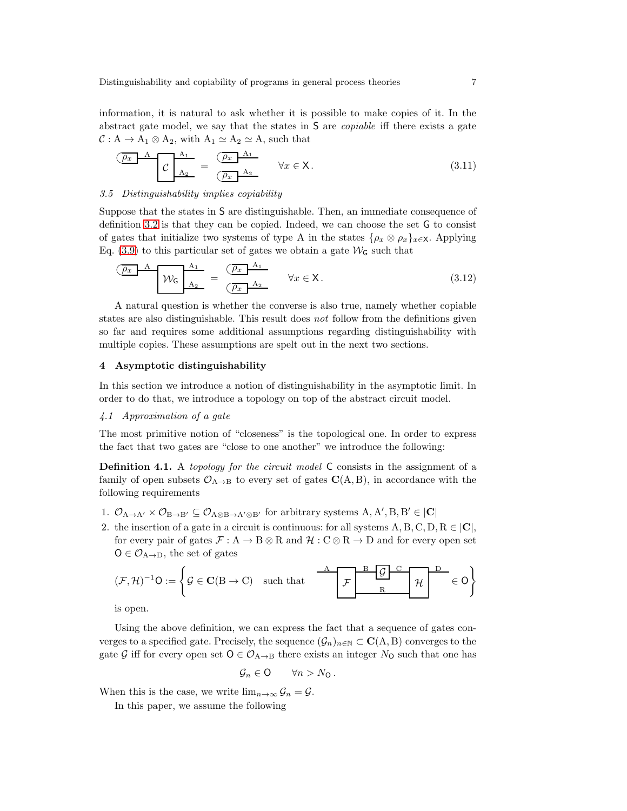information, it is natural to ask whether it is possible to make copies of it. In the abstract gate model, we say that the states in S are copiable iff there exists a gate  $C : A \to A_1 \otimes A_2$ , with  $A_1 \simeq A_2 \simeq A$ , such that

<span id="page-6-3"></span>
$$
\underbrace{\overbrace{\rho_x}^{A} A}_{A_2} = \underbrace{\overbrace{\rho_x}^{A_1}}_{\overbrace{\rho_x}^{A_2}} \quad \forall x \in \mathsf{X}.
$$
\n(3.11)

#### <span id="page-6-2"></span>3.5 Distinguishability implies copiability

Suppose that the states in S are distinguishable. Then, an immediate consequence of definition [3.2](#page-5-0) is that they can be copied. Indeed, we can choose the set G to consist of gates that initialize two systems of type A in the states  $\{\rho_x \otimes \rho_x\}_{x \in \mathsf{X}}$ . Applying Eq. [\(3.9\)](#page-5-1) to this particular set of gates we obtain a gate  $\mathcal{W}_G$  such that

$$
\underbrace{\overbrace{p_x}^{A} A}_{A_2} W_G \underline{A_1}_{A_2} = \underbrace{\overbrace{p_x}^{A_1} A_2}_{\overbrace{p_x}^{A_2} W_Z \in X.}
$$
 (3.12)

A natural question is whether the converse is also true, namely whether copiable states are also distinguishable. This result does not follow from the definitions given so far and requires some additional assumptions regarding distinguishability with multiple copies. These assumptions are spelt out in the next two sections.

#### 4 Asymptotic distinguishability

In this section we introduce a notion of distinguishability in the asymptotic limit. In order to do that, we introduce a topology on top of the abstract circuit model.

# 4.1 Approximation of a gate

The most primitive notion of "closeness" is the topological one. In order to express the fact that two gates are "close to one another" we introduce the following:

Definition 4.1. A topology for the circuit model C consists in the assignment of a family of open subsets  $\mathcal{O}_{A\to B}$  to every set of gates  $\mathbf{C}(A, B)$ , in accordance with the following requirements

- 1.  $\mathcal{O}_{A\to A'} \times \mathcal{O}_{B\to B'} \subseteq \mathcal{O}_{A\otimes B\to A'\otimes B'}$  for arbitrary systems  $A, A', B, B' \in |\mathbf{C}|$
- 2. the insertion of a gate in a circuit is continuous: for all systems  $A, B, C, D, R \in |C|$ , for every pair of gates  $\mathcal{F}: A \to B \otimes R$  and  $\mathcal{H}: C \otimes R \to D$  and for every open set  $O \in \mathcal{O}_{A \to D}$ , the set of gates

$$
(\mathcal{F}, \mathcal{H})^{-1}O := \left\{ \mathcal{G} \in \mathbf{C}(B \to C) \quad \text{such that} \quad \begin{array}{c|c} A & B & \mathcal{G} & C \\ \hline \mathcal{F} & R & \mathcal{H} \end{array} \right\} \in O \right\}
$$

is open.

Using the above definition, we can express the fact that a sequence of gates converges to a specified gate. Precisely, the sequence  $(\mathcal{G}_n)_{n\in\mathbb{N}}\subset\mathbf{C}(\mathbf{A},\mathbf{B})$  converges to the gate G iff for every open set  $O \in \mathcal{O}_{A\rightarrow B}$  there exists an integer  $N_O$  such that one has

<span id="page-6-1"></span>
$$
\mathcal{G}_n \in \mathsf{O} \qquad \forall n > N_\mathsf{O} \, .
$$

When this is the case, we write  $\lim_{n\to\infty} \mathcal{G}_n = \mathcal{G}$ .

<span id="page-6-0"></span>In this paper, we assume the following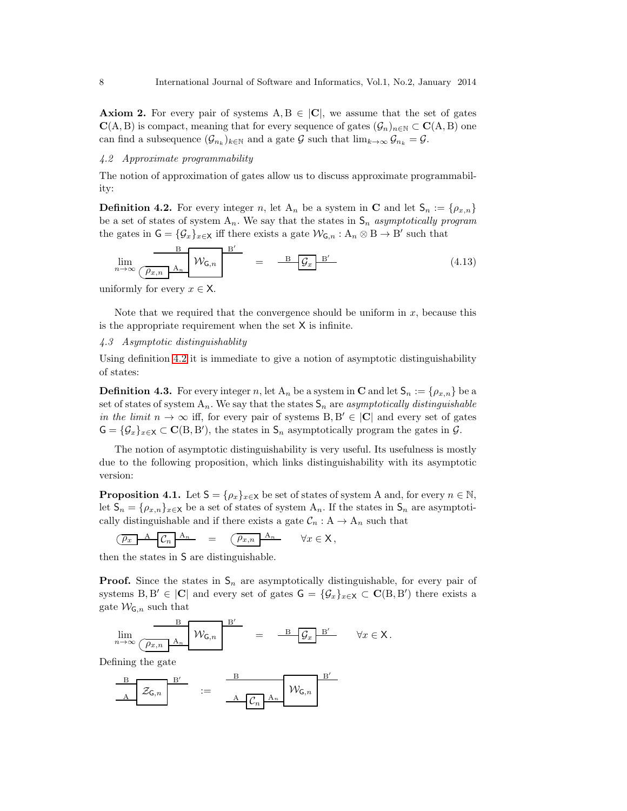**Axiom 2.** For every pair of systems  $A, B \in |C|$ , we assume that the set of gates  $C(A, B)$  is compact, meaning that for every sequence of gates  $(\mathcal{G}_n)_{n \in \mathbb{N}} \subset C(A, B)$  one can find a subsequence  $(\mathcal{G}_{n_k})_{k \in \mathbb{N}}$  and a gate G such that  $\lim_{k \to \infty} \mathcal{G}_{n_k} = \mathcal{G}$ .

#### 4.2 Approximate programmability

<span id="page-7-0"></span>The notion of approximation of gates allow us to discuss approximate programmability:

**Definition 4.2.** For every integer n, let  $A_n$  be a system in **C** and let  $S_n := \{ \rho_{x,n} \}$ be a set of states of system  $A_n$ . We say that the states in  $S_n$  asymptotically program the gates in  $G = {\mathcal{G}_x}_{x \in X}$  iff there exists a gate  $\mathcal{W}_{G,n} : A_n \otimes B \to B'$  such that

$$
\lim_{n \to \infty} \frac{B}{\left(\frac{\rho_{x,n}}{\rho_A}\right)A_n} \frac{B'}{W_{\mathsf{G},n}} = \frac{B}{\left(\frac{\rho_{x,n}}{\rho_A}\right)B'}
$$
\n(4.13)

uniformly for every  $x \in \mathsf{X}$ .

Note that we required that the convergence should be uniform in  $x$ , because this is the appropriate requirement when the set  $X$  is infinite.

# 4.3 Asymptotic distinguishablity

Using definition [4.2](#page-7-0) it is immediate to give a notion of asymptotic distinguishability of states:

**Definition 4.3.** For every integer n, let  $A_n$  be a system in **C** and let  $S_n := \{ \rho_{x,n} \}$  be a set of states of system  $A_n$ . We say that the states  $S_n$  are asymptotically distinguishable in the limit  $n \to \infty$  iff, for every pair of systems  $B, B' \in |C|$  and every set of gates  $G = {\mathcal{G}_x}_{x \in X} \subset \mathbf{C}(B, B')$ , the states in  $\mathcal{S}_n$  asymptotically program the gates in  $\mathcal{G}$ .

The notion of asymptotic distinguishability is very useful. Its usefulness is mostly due to the following proposition, which links distinguishability with its asymptotic version:

<span id="page-7-1"></span>**Proposition 4.1.** Let  $S = \{\rho_x\}_{x \in X}$  be set of states of system A and, for every  $n \in \mathbb{N}$ , let  $S_n = \{\rho_{x,n}\}_{x \in X}$  be a set of states of system  $A_n$ . If the states in  $S_n$  are asymptotically distinguishable and if there exists a gate  $C_n$ :  $A \rightarrow A_n$  such that

$$
\underbrace{\left(\overline{\rho_x} \quad A \quad \overline{\mathcal{C}_n} \quad A_n \right)}_{\mathcal{F}} = \underbrace{\left(\overline{\rho_{x,n}} \quad A_n \quad \forall x \in \mathsf{X}, \right)}_{\mathcal{F}}
$$

then the states in S are distinguishable.

**Proof.** Since the states in  $S_n$  are asymptotically distinguishable, for every pair of systems  $B, B' \in |C|$  and every set of gates  $G = {\mathcal G}_x\}_{x \in X} \subset C(B, B')$  there exists a gate  $\mathcal{W}_{\mathsf{G},n}$  such that

$$
\lim_{n \to \infty} \frac{B}{\left(\overline{\rho_{x,n}}\right) A_n} \quad \mathcal{W}_{\mathsf{G},n} \qquad = \qquad \frac{B}{\left(\overline{\mathcal{G}}_x\right) B'} \qquad \forall x \in \mathsf{X} \, .
$$

Defining the gate

$$
\begin{array}{c|c}\n\end{array}\n\begin{array}{c}\n\text{B}' \\
\hline\n\end{array}\n\begin{array}{c}\n\text{B} \\
\hline\n\end{array}\n\begin{array}{c}\n\text{B} \\
\hline\n\end{array}\n\begin{array}{c}\n\text{B}' \\
\hline\n\end{array}\n\begin{array}{c}\n\text{B}' \\
\hline\n\end{array}
$$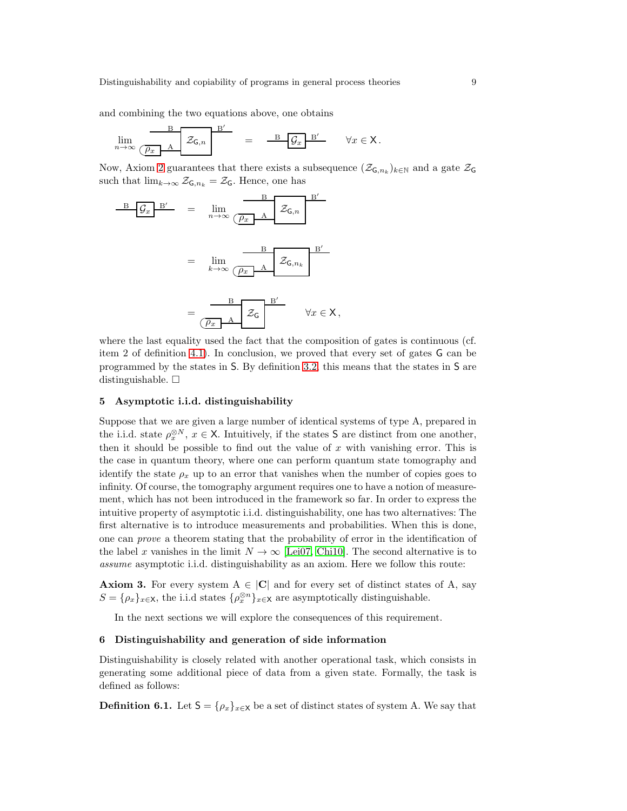and combining the two equations above, one obtains

$$
\lim_{n \to \infty} \frac{\mathbf{B}}{\left(\overline{\rho_x} \quad \mathbf{A}\right)} \mathbf{Z}_{\mathsf{G},n} \qquad = \qquad \frac{\mathbf{B}}{\mathbf{B}} \mathbf{G}_x \mathbf{B}' \qquad \forall x \in \mathsf{X}.
$$

Now, Axiom [2](#page-6-0) guarantees that there exists a subsequence  $(\mathcal{Z}_{\mathsf{G},n_k})_{k\in\mathbb{N}}$  and a gate  $\mathcal{Z}_{\mathsf{G}}$ such that  $\lim_{k\to\infty} \mathcal{Z}_{\mathsf{G},n_k} = \mathcal{Z}_{\mathsf{G}}$ . Hence, one has

$$
\frac{\mathbf{B} \left[ \mathcal{G}_x \right] \mathbf{B}'}{\mathbf{B} \left[ \mathcal{G}_x \right]} = \lim_{n \to \infty} \underbrace{\frac{\mathbf{B}}{\left( \rho_x \right] \mathbf{A}} \mathbf{Z}_{\mathsf{G},n}}_{\left( \rho_x \right) \mathbf{A}} \mathbf{Z}_{\mathsf{G},n_k}
$$
\n
$$
= \lim_{k \to \infty} \underbrace{\frac{\mathbf{B}}{\left( \rho_x \right) \mathbf{A}} \mathbf{Z}_{\mathsf{G},n_k}}_{\left( \rho_x \right) \mathbf{A}} \mathbf{Z}_{\mathsf{G}} \mathbf{X}.
$$

where the last equality used the fact that the composition of gates is continuous (cf. item 2 of definition [4.1\)](#page-6-1). In conclusion, we proved that every set of gates G can be programmed by the states in S. By definition [3.2,](#page-5-0) this means that the states in S are distinguishable.  $\square$ 

# 5 Asymptotic i.i.d. distinguishability

Suppose that we are given a large number of identical systems of type A, prepared in the i.i.d. state  $\rho_x^{\otimes N}$ ,  $x \in \mathsf{X}$ . Intuitively, if the states **S** are distinct from one another, then it should be possible to find out the value of  $x$  with vanishing error. This is the case in quantum theory, where one can perform quantum state tomography and identify the state  $\rho_x$  up to an error that vanishes when the number of copies goes to infinity. Of course, the tomography argument requires one to have a notion of measurement, which has not been introduced in the framework so far. In order to express the intuitive property of asymptotic i.i.d. distinguishability, one has two alternatives: The first alternative is to introduce measurements and probabilities. When this is done, one can prove a theorem stating that the probability of error in the identification of the label x vanishes in the limit  $N \to \infty$  [\[Lei07,](#page-13-5) [Chi10\]](#page-12-1). The second alternative is to assume asymptotic i.i.d. distinguishability as an axiom. Here we follow this route:

**Axiom 3.** For every system  $A \in |C|$  and for every set of distinct states of A, say  $S = {\rho_x}_{x \in X}$ , the i.i.d states  ${\rho_x^{\otimes n}}_{x \in X}$  are asymptotically distinguishable.

<span id="page-8-0"></span>In the next sections we will explore the consequences of this requirement.

#### 6 Distinguishability and generation of side information

Distinguishability is closely related with another operational task, which consists in generating some additional piece of data from a given state. Formally, the task is defined as follows:

**Definition 6.1.** Let  $S = {\rho_x}_{x \in X}$  be a set of distinct states of system A. We say that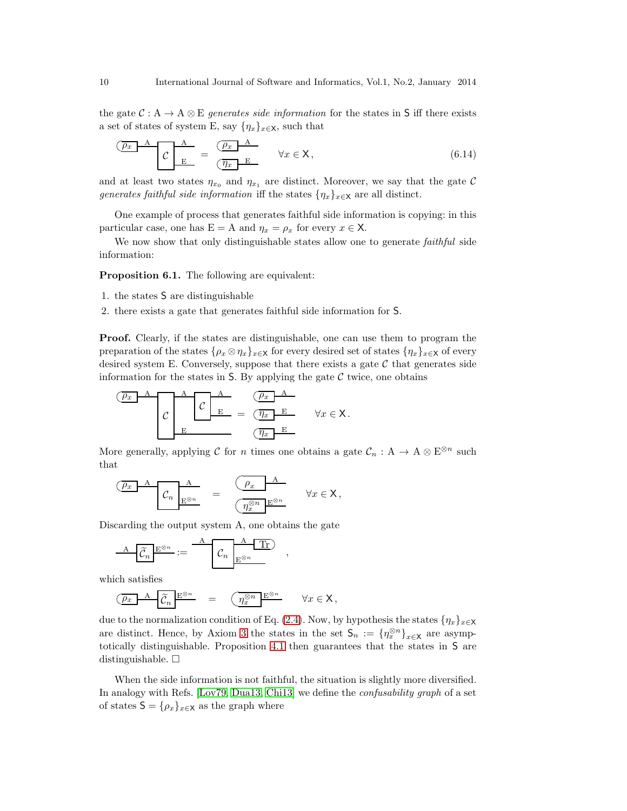the gate  $C : A \to A \otimes E$  generates side information for the states in S iff there exists a set of states of system E, say  $\{\eta_x\}_{x\in\mathsf{X}}$ , such that

$$
\underbrace{\overbrace{\mathcal{C} \quad \mathbf{E}}^{A}}_{E} = \underbrace{\overbrace{\overbrace{\mathcal{C}x}^{A}}^{A}}_{\overbrace{\mathcal{C}x}^{E}} \quad \forall x \in \mathsf{X}, \tag{6.14}
$$

and at least two states  $\eta_{x_0}$  and  $\eta_{x_1}$  are distinct. Moreover, we say that the gate C generates faithful side information iff the states  $\{\eta_x\}_{x\in\mathsf{X}}$  are all distinct.

One example of process that generates faithful side information is copying: in this particular case, one has  $E = A$  and  $\eta_x = \rho_x$  for every  $x \in X$ .

<span id="page-9-0"></span>We now show that only distinguishable states allow one to generate *faithful* side information:

Proposition 6.1. The following are equivalent:

- 1. the states S are distinguishable
- 2. there exists a gate that generates faithful side information for S.

Proof. Clearly, if the states are distinguishable, one can use them to program the preparation of the states  $\{\rho_x \otimes \eta_x\}_{x\in X}$  for every desired set of states  $\{\eta_x\}_{x\in X}$  of every desired system E. Conversely, suppose that there exists a gate  $C$  that generates side information for the states in  $S$ . By applying the gate  $\mathcal C$  twice, one obtains

$$
\underbrace{\begin{array}{c}\n\boxed{\rho_x} & A \\
\hline\nC & E \\
E & \sqrt{\frac{\rho_x}{E}} \\
\hline\n\end{array}}_{\text{E}} = \underbrace{\begin{array}{c}\n\boxed{\rho_x} & A \\
\hline\n\boxed{\frac{\rho_x}{E}} & \forall x \in \mathsf{X}.\n\end{array}}
$$

More generally, applying C for n times one obtains a gate  $\mathcal{C}_n$  : A  $\rightarrow$  A  $\otimes$  E<sup> $\otimes n$ </sup> such that

$$
\underbrace{\overbrace{C_n}_{E^{\otimes n}} \mathbf{A}}_{E^{\otimes n}} = \underbrace{\overbrace{\left(\frac{\rho_x}{\eta_x^{\otimes n}} \mathbf{E}^{\otimes n}}^{\mathbf{A}}}_{\mathbf{Wx \in \mathbf{X}},
$$

Discarding the output system A, one obtains the gate

$$
\underline{A} \underline{\widetilde{C}_n} \underline{E^{\otimes n}} := \underline{A} \underline{\widetilde{C}_n} \underline{B^{\otimes n}}
$$

which satisfies

$$
\underbrace{\overline{\rho_x} \quad A \quad \overline{\widetilde{\mathcal{C}}_n} \stackrel{E^{\otimes n}}{=} \quad = \quad \left( \underbrace{\eta_x^{\otimes n} \quad E^{\otimes n}} \qquad \forall x \in \mathsf{X} \, ,
$$

due to the normalization condition of Eq. [\(2.4\)](#page-2-0). Now, by hypothesis the states  $\{\eta_x\}_{x\in\mathsf{X}}$ are distinct. Hence, by Axiom [3](#page-8-0) the states in the set  $\mathsf{S}_n := \{\eta_x^{\otimes n}\}_{x \in \mathsf{X}}$  are asymptotically distinguishable. Proposition [4.1](#page-7-1) then guarantees that the states in S are distinguishable.  $\square$ 

,

When the side information is not faithful, the situation is slightly more diversified. In analogy with Refs. [\[Lov79,](#page-13-20) [Dua13,](#page-13-21) [Chi13\]](#page-12-14) we define the confusability graph of a set of states  $S = {\rho_x}_{x \in X}$  as the graph where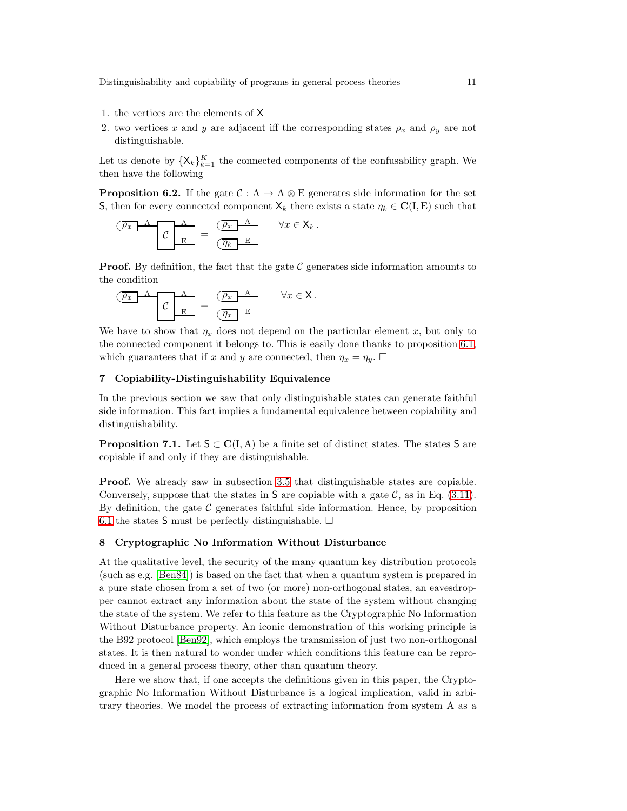- 1. the vertices are the elements of X
- 2. two vertices x and y are adjacent iff the corresponding states  $\rho_x$  and  $\rho_y$  are not distinguishable.

Let us denote by  $\{X_k\}_{k=1}^K$  the connected components of the confusability graph. We then have the following

**Proposition 6.2.** If the gate  $C : A \to A \otimes E$  generates side information for the set S, then for every connected component  $X_k$  there exists a state  $\eta_k \in \mathbf{C}(\mathbf{I}, \mathbf{E})$  such that

$$
\underbrace{\overbrace{C}^{A} \quad B}_{E} = \underbrace{\overbrace{C_x}^{A} \quad B}_{\overline{C} \overline{\eta_k} \quad E}_{E} \qquad \forall x \in X_k.
$$

**Proof.** By definition, the fact that the gate  $\mathcal C$  generates side information amounts to the condition

$$
\underbrace{\overbrace{C \quad E}^{A}}_{E} = \underbrace{\overbrace{C \quad B}^{A}}_{\overbrace{C \quad E}^{E}} \qquad \forall x \in \mathsf{X}.
$$

We have to show that  $\eta_x$  does not depend on the particular element x, but only to the connected component it belongs to. This is easily done thanks to proposition [6.1,](#page-9-0) which guarantees that if x and y are connected, then  $\eta_x = \eta_y$ .

## 7 Copiability-Distinguishability Equivalence

In the previous section we saw that only distinguishable states can generate faithful side information. This fact implies a fundamental equivalence between copiability and distinguishability.

**Proposition 7.1.** Let  $S \subset C(I, A)$  be a finite set of distinct states. The states S are copiable if and only if they are distinguishable.

Proof. We already saw in subsection [3.5](#page-6-2) that distinguishable states are copiable. Conversely, suppose that the states in S are copiable with a gate  $\mathcal{C}$ , as in Eq. [\(3.11\)](#page-6-3). By definition, the gate  $\mathcal C$  generates faithful side information. Hence, by proposition [6.1](#page-9-0) the states S must be perfectly distinguishable.  $\Box$ 

# 8 Cryptographic No Information Without Disturbance

At the qualitative level, the security of the many quantum key distribution protocols (such as e.g. [\[Ben84\]](#page-12-15)) is based on the fact that when a quantum system is prepared in a pure state chosen from a set of two (or more) non-orthogonal states, an eavesdropper cannot extract any information about the state of the system without changing the state of the system. We refer to this feature as the Cryptographic No Information Without Disturbance property. An iconic demonstration of this working principle is the B92 protocol [\[Ben92\]](#page-12-16), which employs the transmission of just two non-orthogonal states. It is then natural to wonder under which conditions this feature can be reproduced in a general process theory, other than quantum theory.

Here we show that, if one accepts the definitions given in this paper, the Cryptographic No Information Without Disturbance is a logical implication, valid in arbitrary theories. We model the process of extracting information from system A as a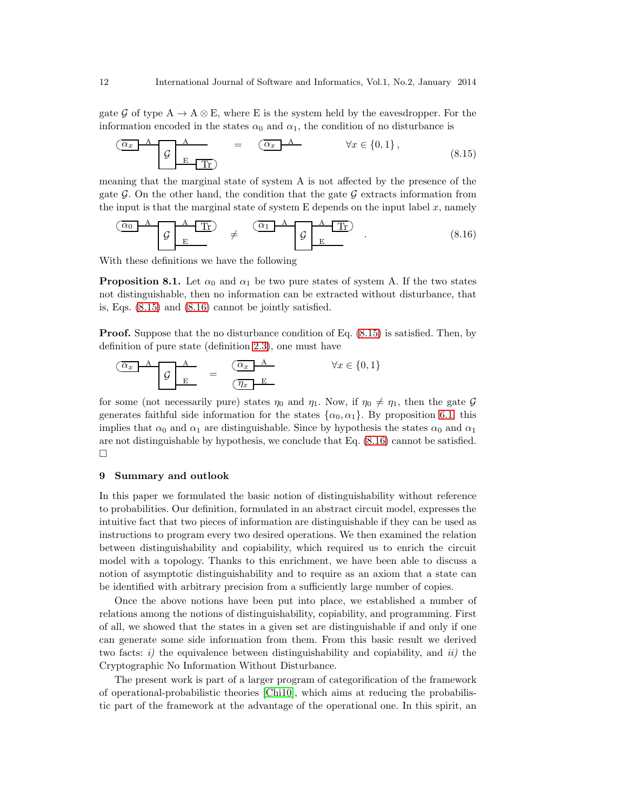gate G of type  $A \to A \otimes E$ , where E is the system held by the eavesdropper. For the information encoded in the states  $\alpha_0$  and  $\alpha_1$ , the condition of no disturbance is

<span id="page-11-0"></span>
$$
\underbrace{\overbrace{G}_{E} A}_{E \text{ Tr}} = \underbrace{\overbrace{G_x} A}_{W} \qquad \forall x \in \{0, 1\},
$$
\n
$$
(8.15)
$$

meaning that the marginal state of system A is not affected by the presence of the gate G. On the other hand, the condition that the gate G extracts information from the input is that the marginal state of system  $E$  depends on the input label  $x$ , namely

<span id="page-11-1"></span>
$$
\begin{array}{|c|c|c|c|c|}\n\hline\n\hline\n\mathcal{G} & A & \text{Tr} \\
\hline\n\mathcal{G} & E & \mathcal{G} \\
\hline\n\end{array}\n\quad \neq \quad\n\begin{array}{|c|c|c|c|}\n\hline\n\text{A} & \text{Tr} \\
\hline\n\mathcal{G} & E & \mathcal{G} \\
\hline\n\end{array}\n\quad . \tag{8.16}
$$

With these definitions we have the following

**Proposition 8.1.** Let  $\alpha_0$  and  $\alpha_1$  be two pure states of system A. If the two states not distinguishable, then no information can be extracted without disturbance, that is, Eqs. [\(8.15\)](#page-11-0) and [\(8.16\)](#page-11-1) cannot be jointly satisfied.

Proof. Suppose that the no disturbance condition of Eq. [\(8.15\)](#page-11-0) is satisfied. Then, by definition of pure state (definition [2.3\)](#page-3-0), one must have

$$
\begin{array}{c|c}\n\hline\n\hline\n\alpha_x & A & B \\
\hline\n\mathcal{G} & E & \overline{\alpha_x} & A \\
\hline\n\mathcal{G} & E & \overline{\alpha_x} & E\n\end{array}\n\qquad \forall x \in \{0, 1\}
$$

for some (not necessarily pure) states  $\eta_0$  and  $\eta_1$ . Now, if  $\eta_0 \neq \eta_1$ , then the gate G generates faithful side information for the states  $\{\alpha_0, \alpha_1\}$ . By proposition [6.1,](#page-9-0) this implies that  $\alpha_0$  and  $\alpha_1$  are distinguishable. Since by hypothesis the states  $\alpha_0$  and  $\alpha_1$ are not distinguishable by hypothesis, we conclude that Eq. [\(8.16\)](#page-11-1) cannot be satisfied.  $\Box$ 

#### 9 Summary and outlook

In this paper we formulated the basic notion of distinguishability without reference to probabilities. Our definition, formulated in an abstract circuit model, expresses the intuitive fact that two pieces of information are distinguishable if they can be used as instructions to program every two desired operations. We then examined the relation between distinguishability and copiability, which required us to enrich the circuit model with a topology. Thanks to this enrichment, we have been able to discuss a notion of asymptotic distinguishability and to require as an axiom that a state can be identified with arbitrary precision from a sufficiently large number of copies.

Once the above notions have been put into place, we established a number of relations among the notions of distinguishability, copiability, and programming. First of all, we showed that the states in a given set are distinguishable if and only if one can generate some side information from them. From this basic result we derived two facts: i) the equivalence between distinguishability and copiability, and  $ii$ ) the Cryptographic No Information Without Disturbance.

The present work is part of a larger program of categorification of the framework of operational-probabilistic theories [\[Chi10\]](#page-12-1), which aims at reducing the probabilistic part of the framework at the advantage of the operational one. In this spirit, an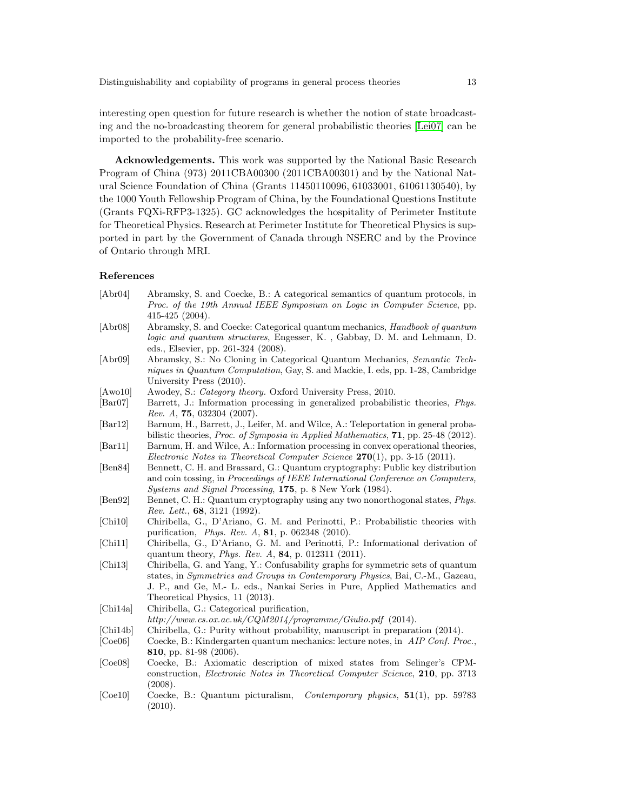interesting open question for future research is whether the notion of state broadcasting and the no-broadcasting theorem for general probabilistic theories [\[Lei07\]](#page-13-5) can be imported to the probability-free scenario.

Acknowledgements. This work was supported by the National Basic Research Program of China (973) 2011CBA00300 (2011CBA00301) and by the National Natural Science Foundation of China (Grants 11450110096, 61033001, 61061130540), by the 1000 Youth Fellowship Program of China, by the Foundational Questions Institute (Grants FQXi-RFP3-1325). GC acknowledges the hospitality of Perimeter Institute for Theoretical Physics. Research at Perimeter Institute for Theoretical Physics is supported in part by the Government of Canada through NSERC and by the Province of Ontario through MRI.

### References

- <span id="page-12-10"></span><span id="page-12-9"></span><span id="page-12-7"></span><span id="page-12-5"></span><span id="page-12-4"></span><span id="page-12-3"></span><span id="page-12-0"></span>[Abr04] Abramsky, S. and Coecke, B.: A categorical semantics of quantum protocols, in *Proc. of the 19th Annual IEEE Symposium on Logic in Computer Science*, pp. 415-425 (2004). [Abr08] Abramsky, S. and Coecke: Categorical quantum mechanics, *Handbook of quantum logic and quantum structures*, Engesser, K. , Gabbay, D. M. and Lehmann, D. eds., Elsevier, pp. 261-324 (2008). [Abr09] Abramsky, S.: No Cloning in Categorical Quantum Mechanics, *Semantic Techniques in Quantum Computation*, Gay, S. and Mackie, I. eds, pp. 1-28, Cambridge University Press (2010). [Awo10] Awodey, S.: *Category theory.* Oxford University Press, 2010. [Bar07] Barrett, J.: Information processing in generalized probabilistic theories, *Phys. Rev. A*, 75, 032304 (2007). [Bar12] Barnum, H., Barrett, J., Leifer, M. and Wilce, A.: Teleportation in general probabilistic theories, *Proc. of Symposia in Applied Mathematics*, 71, pp. 25-48 (2012). [Bar11] Barnum, H. and Wilce, A.: Information processing in convex operational theories, *Electronic Notes in Theoretical Computer Science* 270(1), pp. 3-15 (2011). [Ben84] Bennett, C. H. and Brassard, G.: Quantum cryptography: Public key distribution and coin tossing, in *Proceedings of IEEE International Conference on Computers, Systems and Signal Processing*, 175, p. 8 New York (1984). [Ben92] Bennet, C. H.: Quantum cryptography using any two nonorthogonal states, *Phys. Rev. Lett.*, 68, 3121 (1992). [Chi10] Chiribella, G., D'Ariano, G. M. and Perinotti, P.: Probabilistic theories with purification, *Phys. Rev. A*, 81, p. 062348 (2010). [Chi11] Chiribella, G., D'Ariano, G. M. and Perinotti, P.: Informational derivation of quantum theory, *Phys. Rev. A*, 84, p. 012311 (2011). [Chi13] Chiribella, G. and Yang, Y.: Confusability graphs for symmetric sets of quantum states, in *Symmetries and Groups in Contemporary Physics*, Bai, C.-M., Gazeau, J. P., and Ge, M.- L. eds., Nankai Series in Pure, Applied Mathematics and Theoretical Physics, 11 (2013). [Chi14a] Chiribella, G.: Categorical purification, *http://www.cs.ox.ac.uk/CQM2014/programme/Giulio.pdf* (2014). [Chi14b] Chiribella, G.: Purity without probability, manuscript in preparation (2014).
- <span id="page-12-16"></span><span id="page-12-15"></span><span id="page-12-14"></span><span id="page-12-13"></span><span id="page-12-12"></span><span id="page-12-6"></span><span id="page-12-2"></span><span id="page-12-1"></span>[Coe06] Coecke, B.: Kindergarten quantum mechanics: lecture notes, in *AIP Conf. Proc.*, 810, pp. 81-98 (2006).
- <span id="page-12-11"></span>[Coe08] Coecke, B.: Axiomatic description of mixed states from Selinger's CPMconstruction, *Electronic Notes in Theoretical Computer Science*, 210, pp. 3?13 (2008).
- <span id="page-12-8"></span>[Coe10] Coecke, B.: Quantum picturalism, *Contemporary physics*, 51(1), pp. 59?83 (2010).